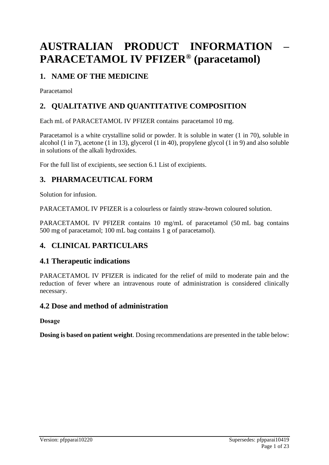# **AUSTRALIAN PRODUCT INFORMATION – PARACETAMOL IV PFIZER® (paracetamol)**

## **1. NAME OF THE MEDICINE**

Paracetamol

## **2. QUALITATIVE AND QUANTITATIVE COMPOSITION**

Each mL of PARACETAMOL IV PFIZER contains paracetamol 10 mg.

Paracetamol is a white crystalline solid or powder. It is soluble in water (1 in 70), soluble in alcohol (1 in 7), acetone (1 in 13), glycerol (1 in 40), propylene glycol (1 in 9) and also soluble in solutions of the alkali hydroxides.

For the full list of excipients, see section 6.1 List of excipients.

## **3. PHARMACEUTICAL FORM**

Solution for infusion.

PARACETAMOL IV PFIZER is a colourless or faintly straw-brown coloured solution.

PARACETAMOL IV PFIZER contains 10 mg/mL of paracetamol (50 mL bag contains 500 mg of paracetamol; 100 mL bag contains 1 g of paracetamol).

## **4. CLINICAL PARTICULARS**

## **4.1 Therapeutic indications**

PARACETAMOL IV PFIZER is indicated for the relief of mild to moderate pain and the reduction of fever where an intravenous route of administration is considered clinically necessary.

## **4.2 Dose and method of administration**

**Dosage**

**Dosing is based on patient weight**. Dosing recommendations are presented in the table below: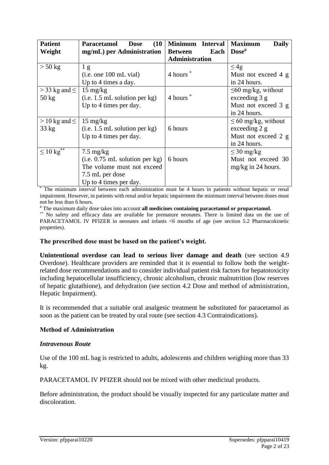| <b>Patient</b>            | Paracetamol<br>(10)<br><b>Dose</b> | <b>Minimum</b><br><b>Interval</b> | <b>Maximum</b><br><b>Daily</b> |
|---------------------------|------------------------------------|-----------------------------------|--------------------------------|
| Weight                    | mg/mL) per Administration          | Each<br><b>Between</b>            | $\bf{Dose}^{\#}$               |
|                           |                                    | <b>Administration</b>             |                                |
| $> 50$ kg                 | 1 <sub>g</sub>                     |                                   | $\leq 4g$                      |
|                           | (i.e. one 100 mL vial)             | 4 hours <sup>*</sup>              | Must not exceed 4 g            |
|                           | Up to 4 times a day.               |                                   | in 24 hours.                   |
| $>$ 33 kg and $\le$       | $15 \text{ mg/kg}$                 |                                   | $\leq 60$ mg/kg, without       |
| $50 \text{ kg}$           | (i.e. 1.5 mL solution per kg)      | 4 hours <sup>*</sup>              | exceeding 3 g                  |
|                           | Up to 4 times per day.             |                                   | Must not exceed 3 g            |
|                           |                                    |                                   | in 24 hours.                   |
| $>$ 10 kg and $\leq$      | $15 \text{ mg/kg}$                 |                                   | $\leq 60$ mg/kg, without       |
| $33 \text{ kg}$           | (i.e. 1.5 mL solution per kg)      | 6 hours                           | exceeding 2 g                  |
|                           | Up to 4 times per day.             |                                   | Must not exceed 2 g            |
|                           |                                    |                                   | in 24 hours.                   |
| $\leq 10 \text{ kg}^{**}$ | $7.5 \text{ mg/kg}$                |                                   | $\leq 30$ mg/kg                |
|                           | $(i.e. 0.75$ mL solution per kg)   | 6 hours                           | Must not exceed 30             |
|                           | The volume must not exceed         |                                   | $mg/kg$ in 24 hours.           |
|                           | 7.5 mL per dose                    |                                   |                                |
|                           | Up to 4 times per day.             |                                   |                                |

The minimum interval between each administration must be 4 hours in patients without hepatic or renal impairment. However, in patients with renal and/or hepatic impairment the minimum interval between doses must not be less than 6 hours.

# The maximum daily dose takes into account **all medicines containing paracetamol or propacetamol.**

\*\* No safety and efficacy data are available for premature neonates. There is limited data on the use of PARACETAMOL IV PFIZER in neonates and infants <6 months of age (see section 5.2 Pharmacokinetic properties).

### **The prescribed dose must be based on the patient's weight.**

**Unintentional overdose can lead to serious liver damage and death** (see section 4.9 Overdose). Healthcare providers are reminded that it is essential to follow both the weightrelated dose recommendations and to consider individual patient risk factors for hepatotoxicity including hepatocellular insufficiency, chronic alcoholism, chronic malnutrition (low reserves of hepatic glutathione), and dehydration (see section 4.2 Dose and method of administration, Hepatic Impairment).

It is recommended that a suitable oral analgesic treatment be substituted for paracetamol as soon as the patient can be treated by oral route (see section 4.3 Contraindications).

### **Method of Administration**

### *Intravenous Route*

Use of the 100 mL bag is restricted to adults, adolescents and children weighing more than 33 kg.

PARACETAMOL IV PFIZER should not be mixed with other medicinal products.

Before administration, the product should be visually inspected for any particulate matter and discoloration.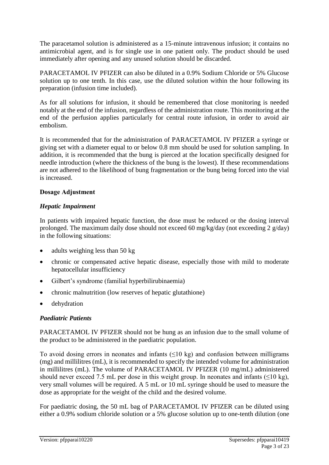The paracetamol solution is administered as a 15-minute intravenous infusion; it contains no antimicrobial agent, and is for single use in one patient only. The product should be used immediately after opening and any unused solution should be discarded.

PARACETAMOL IV PFIZER can also be diluted in a 0.9% Sodium Chloride or 5% Glucose solution up to one tenth. In this case, use the diluted solution within the hour following its preparation (infusion time included).

As for all solutions for infusion, it should be remembered that close monitoring is needed notably at the end of the infusion, regardless of the administration route. This monitoring at the end of the perfusion applies particularly for central route infusion, in order to avoid air embolism.

It is recommended that for the administration of PARACETAMOL IV PFIZER a syringe or giving set with a diameter equal to or below 0.8 mm should be used for solution sampling. In addition, it is recommended that the bung is pierced at the location specifically designed for needle introduction (where the thickness of the bung is the lowest). If these recommendations are not adhered to the likelihood of bung fragmentation or the bung being forced into the vial is increased.

## **Dosage Adjustment**

### *Hepatic Impairment*

In patients with impaired hepatic function, the dose must be reduced or the dosing interval prolonged. The maximum daily dose should not exceed 60 mg/kg/day (not exceeding 2 g/day) in the following situations:

- $\bullet$  adults weighing less than 50 kg
- chronic or compensated active hepatic disease, especially those with mild to moderate hepatocellular insufficiency
- Gilbert's syndrome (familial hyperbilirubinaemia)
- chronic malnutrition (low reserves of hepatic glutathione)
- dehydration

## *Paediatric Patients*

PARACETAMOL IV PFIZER should not be hung as an infusion due to the small volume of the product to be administered in the paediatric population.

To avoid dosing errors in neonates and infants  $(\leq 10 \text{ kg})$  and confusion between milligrams (mg) and millilitres (mL), it is recommended to specify the intended volume for administration in millilitres (mL). The volume of PARACETAMOL IV PFIZER (10 mg/mL) administered should never exceed 7.5 mL per dose in this weight group. In neonates and infants  $(\leq 10 \text{ kg})$ , very small volumes will be required. A 5 mL or 10 mL syringe should be used to measure the dose as appropriate for the weight of the child and the desired volume.

For paediatric dosing, the 50 mL bag of PARACETAMOL IV PFIZER can be diluted using either a 0.9% sodium chloride solution or a 5% glucose solution up to one-tenth dilution (one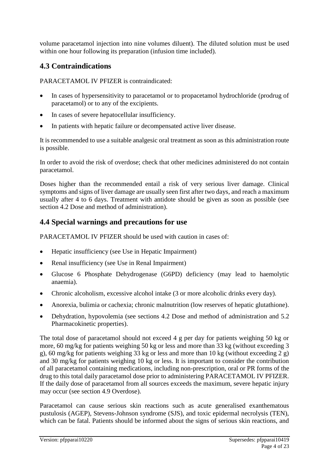volume paracetamol injection into nine volumes diluent). The diluted solution must be used within one hour following its preparation (infusion time included).

## **4.3 Contraindications**

PARACETAMOL IV PFIZER is contraindicated:

- In cases of hypersensitivity to paracetamol or to propacetamol hydrochloride (prodrug of paracetamol) or to any of the excipients.
- In cases of severe hepatocellular insufficiency.
- In patients with hepatic failure or decompensated active liver disease.

It is recommended to use a suitable analgesic oral treatment as soon as this administration route is possible.

In order to avoid the risk of overdose; check that other medicines administered do not contain paracetamol.

Doses higher than the recommended entail a risk of very serious liver damage. Clinical symptoms and signs of liver damage are usually seen first after two days, and reach a maximum usually after 4 to 6 days. Treatment with antidote should be given as soon as possible (see section 4.2 Dose and method of administration).

## **4.4 Special warnings and precautions for use**

PARACETAMOL IV PFIZER should be used with caution in cases of:

- Hepatic insufficiency (see Use in Hepatic Impairment)
- Renal insufficiency (see Use in Renal Impairment)
- Glucose 6 Phosphate Dehydrogenase (G6PD) deficiency (may lead to haemolytic anaemia).
- Chronic alcoholism, excessive alcohol intake (3 or more alcoholic drinks every day).
- Anorexia, bulimia or cachexia; chronic malnutrition (low reserves of hepatic glutathione).
- Dehydration, hypovolemia (see sections 4.2 Dose and method of administration and 5.2 Pharmacokinetic properties).

The total dose of paracetamol should not exceed 4 g per day for patients weighing 50 kg or more, 60 mg/kg for patients weighing 50 kg or less and more than 33 kg (without exceeding 3 g), 60 mg/kg for patients weighing 33 kg or less and more than 10 kg (without exceeding  $\frac{2}{9}$ ) and 30 mg/kg for patients weighing 10 kg or less. It is important to consider the contribution of all paracetamol containing medications, including non-prescription, oral or PR forms of the drug to this total daily paracetamol dose prior to administering PARACETAMOL IV PFIZER. If the daily dose of paracetamol from all sources exceeds the maximum, severe hepatic injury may occur (see section 4.9 Overdose).

Paracetamol can cause serious skin reactions such as acute generalised exanthematous pustulosis (AGEP), Stevens-Johnson syndrome (SJS), and toxic epidermal necrolysis (TEN), which can be fatal. Patients should be informed about the signs of serious skin reactions, and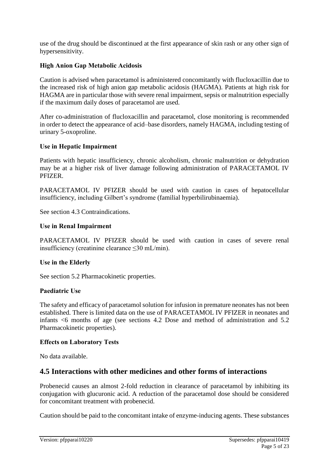use of the drug should be discontinued at the first appearance of skin rash or any other sign of hypersensitivity.

### **High Anion Gap Metabolic Acidosis**

Caution is advised when paracetamol is administered concomitantly with flucloxacillin due to the increased risk of high anion gap metabolic acidosis (HAGMA). Patients at high risk for HAGMA are in particular those with severe renal impairment, sepsis or malnutrition especially if the maximum daily doses of paracetamol are used.

After co-administration of flucloxacillin and paracetamol, close monitoring is recommended in order to detect the appearance of acid–base disorders, namely HAGMA, including testing of urinary 5-oxoproline.

### **Use in Hepatic Impairment**

Patients with hepatic insufficiency, chronic alcoholism, chronic malnutrition or dehydration may be at a higher risk of liver damage following administration of PARACETAMOL IV **PFIZER** 

PARACETAMOL IV PFIZER should be used with caution in cases of hepatocellular insufficiency, including Gilbert's syndrome (familial hyperbilirubinaemia).

See section 4.3 Contraindications.

### **Use in Renal Impairment**

PARACETAMOL IV PFIZER should be used with caution in cases of severe renal insufficiency (creatinine clearance ≤30 mL/min).

### **Use in the Elderly**

See section 5.2 Pharmacokinetic properties.

### **Paediatric Use**

The safety and efficacy of paracetamol solution for infusion in premature neonates has not been established. There is limited data on the use of PARACETAMOL IV PFIZER in neonates and infants <6 months of age (see sections 4.2 Dose and method of administration and 5.2 Pharmacokinetic properties).

### **Effects on Laboratory Tests**

No data available.

## **4.5 Interactions with other medicines and other forms of interactions**

Probenecid causes an almost 2-fold reduction in clearance of paracetamol by inhibiting its conjugation with glucuronic acid. A reduction of the paracetamol dose should be considered for concomitant treatment with probenecid.

Caution should be paid to the concomitant intake of enzyme-inducing agents. These substances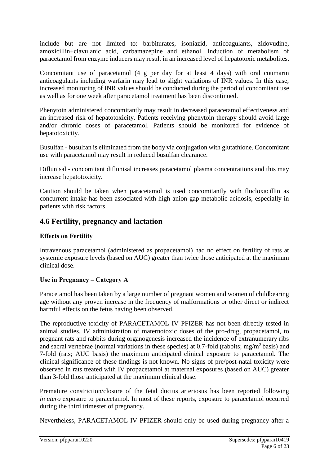include but are not limited to: barbiturates, isoniazid, anticoagulants, zidovudine, amoxicillin+clavulanic acid, carbamazepine and ethanol. Induction of metabolism of paracetamol from enzyme inducers may result in an increased level of hepatotoxic metabolites.

Concomitant use of paracetamol (4 g per day for at least 4 days) with oral coumarin anticoagulants including warfarin may lead to slight variations of INR values. In this case, increased monitoring of INR values should be conducted during the period of concomitant use as well as for one week after paracetamol treatment has been discontinued.

Phenytoin administered concomitantly may result in decreased paracetamol effectiveness and an increased risk of hepatotoxicity. Patients receiving phenytoin therapy should avoid large and/or chronic doses of paracetamol. Patients should be monitored for evidence of hepatotoxicity.

Busulfan - busulfan is eliminated from the body via conjugation with glutathione. Concomitant use with paracetamol may result in reduced busulfan clearance.

Diflunisal - concomitant diflunisal increases paracetamol plasma concentrations and this may increase hepatotoxicity.

Caution should be taken when paracetamol is used concomitantly with flucloxacillin as concurrent intake has been associated with high anion gap metabolic acidosis, especially in patients with risk factors.

## **4.6 Fertility, pregnancy and lactation**

## **Effects on Fertility**

Intravenous paracetamol (administered as propacetamol) had no effect on fertility of rats at systemic exposure levels (based on AUC) greater than twice those anticipated at the maximum clinical dose.

## **Use in Pregnancy – Category A**

Paracetamol has been taken by a large number of pregnant women and women of childbearing age without any proven increase in the frequency of malformations or other direct or indirect harmful effects on the fetus having been observed.

The reproductive toxicity of PARACETAMOL IV PFIZER has not been directly tested in animal studies. IV administration of maternotoxic doses of the pro-drug, propacetamol, to pregnant rats and rabbits during organogenesis increased the incidence of extranumerary ribs and sacral vertebrae (normal variations in these species) at 0.7-fold (rabbits; mg/m<sup>2</sup> basis) and 7-fold (rats; AUC basis) the maximum anticipated clinical exposure to paracetamol. The clinical significance of these findings is not known. No signs of pre/post-natal toxicity were observed in rats treated with IV propacetamol at maternal exposures (based on AUC) greater than 3-fold those anticipated at the maximum clinical dose.

Premature constriction/closure of the fetal ductus arteriosus has been reported following *in utero* exposure to paracetamol. In most of these reports, exposure to paracetamol occurred during the third trimester of pregnancy.

Nevertheless, PARACETAMOL IV PFIZER should only be used during pregnancy after a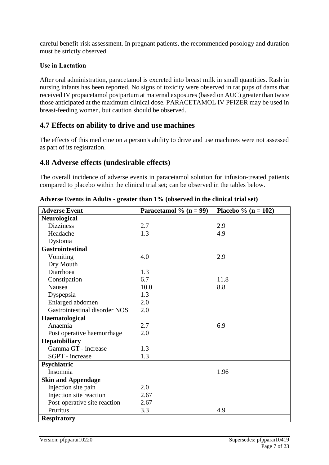careful benefit-risk assessment. In pregnant patients, the recommended posology and duration must be strictly observed.

### **Use in Lactation**

After oral administration, paracetamol is excreted into breast milk in small quantities. Rash in nursing infants has been reported. No signs of toxicity were observed in rat pups of dams that received IV propacetamol postpartum at maternal exposures (based on AUC) greater than twice those anticipated at the maximum clinical dose. PARACETAMOL IV PFIZER may be used in breast-feeding women, but caution should be observed.

## **4.7 Effects on ability to drive and use machines**

The effects of this medicine on a person's ability to drive and use machines were not assessed as part of its registration.

## **4.8 Adverse effects (undesirable effects)**

The overall incidence of adverse events in paracetamol solution for infusion-treated patients compared to placebo within the clinical trial set; can be observed in the tables below.

| <b>Adverse Event</b>          | Paracetamol % $(n = 99)$ | Placebo % ( $n = 102$ ) |
|-------------------------------|--------------------------|-------------------------|
| <b>Neurological</b>           |                          |                         |
| <b>Dizziness</b>              | 2.7                      | 2.9                     |
| Headache                      | 1.3                      | 4.9                     |
| Dystonia                      |                          |                         |
| <b>Gastrointestinal</b>       |                          |                         |
| Vomiting                      | 4.0                      | 2.9                     |
| Dry Mouth                     |                          |                         |
| Diarrhoea                     | 1.3                      |                         |
| Constipation                  | 6.7                      | 11.8                    |
| Nausea                        | 10.0                     | 8.8                     |
| Dyspepsia                     | 1.3                      |                         |
| Enlarged abdomen              | 2.0                      |                         |
| Gastrointestinal disorder NOS | 2.0                      |                         |
| Haematological                |                          |                         |
| Anaemia                       | 2.7                      | 6.9                     |
| Post operative haemorrhage    | 2.0                      |                         |
| Hepatobiliary                 |                          |                         |
| Gamma GT - increase           | 1.3                      |                         |
| SGPT - increase               | 1.3                      |                         |
| Psychiatric                   |                          |                         |
| Insomnia                      |                          | 1.96                    |
| <b>Skin and Appendage</b>     |                          |                         |
| Injection site pain           | 2.0                      |                         |
| Injection site reaction       | 2.67                     |                         |
| Post-operative site reaction  | 2.67                     |                         |
| Pruritus                      | 3.3                      | 4.9                     |
| <b>Respiratory</b>            |                          |                         |

**Adverse Events in Adults - greater than 1% (observed in the clinical trial set)**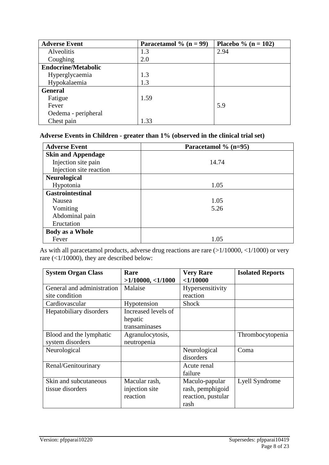| <b>Adverse Event</b>       | Paracetamol % $(n = 99)$ | Placebo % ( $n = 102$ ) |
|----------------------------|--------------------------|-------------------------|
| Alveolitis                 | 1.3                      | 2.94                    |
| Coughing                   | 2.0                      |                         |
| <b>Endocrine/Metabolic</b> |                          |                         |
| Hyperglycaemia             | 1.3                      |                         |
| Hypokalaemia               | 1.3                      |                         |
| <b>General</b>             |                          |                         |
| Fatigue                    | 1.59                     |                         |
| Fever                      |                          | 5.9                     |
| Oedema - peripheral        |                          |                         |
| Chest pain                 | 1.33                     |                         |

### **Adverse Events in Children - greater than 1% (observed in the clinical trial set)**

| <b>Adverse Event</b>      | Paracetamol % (n=95) |
|---------------------------|----------------------|
| <b>Skin and Appendage</b> |                      |
| Injection site pain       | 14.74                |
| Injection site reaction   |                      |
| <b>Neurological</b>       |                      |
| Hypotonia                 | 1.05                 |
| <b>Gastrointestinal</b>   |                      |
| Nausea                    | 1.05                 |
| Vomiting                  | 5.26                 |
| Abdominal pain            |                      |
| Eructation                |                      |
| <b>Body as a Whole</b>    |                      |
| Fever                     | 1.05                 |

As with all paracetamol products, adverse drug reactions are rare (>1/10000, <1/1000) or very rare (<1/10000), they are described below:

| <b>System Organ Class</b>                    | Rare<br>$>1/10000$ , <1/1000                    | <b>Very Rare</b><br>$<$ 1/10000                                  | <b>Isolated Reports</b> |
|----------------------------------------------|-------------------------------------------------|------------------------------------------------------------------|-------------------------|
| General and administration<br>site condition | Malaise                                         | Hypersensitivity<br>reaction                                     |                         |
| Cardiovascular                               | Hypotension                                     | <b>Shock</b>                                                     |                         |
| Hepatobiliary disorders                      | Increased levels of<br>hepatic<br>transaminases |                                                                  |                         |
| Blood and the lymphatic<br>system disorders  | Agranulocytosis,<br>neutropenia                 |                                                                  | Thrombocytopenia        |
| Neurological                                 |                                                 | Neurological<br>disorders                                        | Coma                    |
| Renal/Genitourinary                          |                                                 | Acute renal<br>failure                                           |                         |
| Skin and subcutaneous<br>tissue disorders    | Macular rash,<br>injection site<br>reaction     | Maculo-papular<br>rash, pemphigoid<br>reaction, pustular<br>rash | Lyell Syndrome          |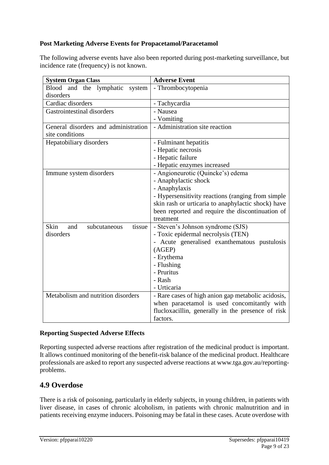## **Post Marketing Adverse Events for Propacetamol/Paracetamol**

The following adverse events have also been reported during post-marketing surveillance, but incidence rate (frequency) is not known.

| <b>System Organ Class</b>             | <b>Adverse Event</b>                               |  |  |  |
|---------------------------------------|----------------------------------------------------|--|--|--|
| Blood and the lymphatic<br>system     | - Thrombocytopenia                                 |  |  |  |
| disorders                             |                                                    |  |  |  |
| Cardiac disorders                     | - Tachycardia                                      |  |  |  |
| Gastrointestinal disorders            | - Nausea                                           |  |  |  |
|                                       | - Vomiting                                         |  |  |  |
| General disorders and administration  | - Administration site reaction                     |  |  |  |
| site conditions                       |                                                    |  |  |  |
| Hepatobiliary disorders               | - Fulminant hepatitis                              |  |  |  |
|                                       | - Hepatic necrosis                                 |  |  |  |
|                                       | - Hepatic failure                                  |  |  |  |
|                                       | - Hepatic enzymes increased                        |  |  |  |
| Immune system disorders               | - Angioneurotic (Quincke's) edema                  |  |  |  |
|                                       | - Anaphylactic shock                               |  |  |  |
|                                       | - Anaphylaxis                                      |  |  |  |
|                                       | - Hypersensitivity reactions (ranging from simple) |  |  |  |
|                                       | skin rash or urticaria to anaphylactic shock) have |  |  |  |
|                                       | been reported and require the discontinuation of   |  |  |  |
|                                       | treatment                                          |  |  |  |
| Skin<br>tissue<br>and<br>subcutaneous | - Steven's Johnson syndrome (SJS)                  |  |  |  |
| disorders                             | - Toxic epidermal necrolysis (TEN)                 |  |  |  |
|                                       | - Acute generalised exanthematous pustulosis       |  |  |  |
|                                       | (AGEP)                                             |  |  |  |
|                                       | - Erythema                                         |  |  |  |
|                                       | - Flushing                                         |  |  |  |
|                                       | - Pruritus                                         |  |  |  |
|                                       | - Rash                                             |  |  |  |
|                                       | - Urticaria                                        |  |  |  |
| Metabolism and nutrition disorders    | - Rare cases of high anion gap metabolic acidosis, |  |  |  |
|                                       | when paracetamol is used concomitantly with        |  |  |  |
|                                       | flucloxacillin, generally in the presence of risk  |  |  |  |
|                                       | factors.                                           |  |  |  |

### **Reporting Suspected Adverse Effects**

Reporting suspected adverse reactions after registration of the medicinal product is important. It allows continued monitoring of the benefit-risk balance of the medicinal product. Healthcare professionals are asked to report any suspected adverse reactions at [www.tga.gov.au/reporting](http://www.tga.gov.au/reporting-problems)[problems.](http://www.tga.gov.au/reporting-problems)

## **4.9 Overdose**

There is a risk of poisoning, particularly in elderly subjects, in young children, in patients with liver disease, in cases of chronic alcoholism, in patients with chronic malnutrition and in patients receiving enzyme inducers. Poisoning may be fatal in these cases. Acute overdose with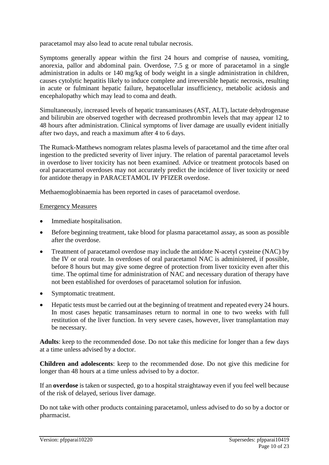paracetamol may also lead to acute renal tubular necrosis.

Symptoms generally appear within the first 24 hours and comprise of nausea, vomiting, anorexia, pallor and abdominal pain. Overdose, 7.5 g or more of paracetamol in a single administration in adults or 140 mg/kg of body weight in a single administration in children, causes cytolytic hepatitis likely to induce complete and irreversible hepatic necrosis, resulting in acute or fulminant hepatic failure, hepatocellular insufficiency, metabolic acidosis and encephalopathy which may lead to coma and death.

Simultaneously, increased levels of hepatic transaminases (AST, ALT), lactate dehydrogenase and bilirubin are observed together with decreased prothrombin levels that may appear 12 to 48 hours after administration. Clinical symptoms of liver damage are usually evident initially after two days, and reach a maximum after 4 to 6 days.

The Rumack-Matthews nomogram relates plasma levels of paracetamol and the time after oral ingestion to the predicted severity of liver injury. The relation of parental paracetamol levels in overdose to liver toxicity has not been examined. Advice or treatment protocols based on oral paracetamol overdoses may not accurately predict the incidence of liver toxicity or need for antidote therapy in PARACETAMOL IV PFIZER overdose.

Methaemoglobinaemia has been reported in cases of paracetamol overdose.

#### Emergency Measures

- Immediate hospitalisation.
- Before beginning treatment, take blood for plasma paracetamol assay, as soon as possible after the overdose.
- Treatment of paracetamol overdose may include the antidote N-acetyl cysteine (NAC) by the IV or oral route. In overdoses of oral paracetamol NAC is administered, if possible, before 8 hours but may give some degree of protection from liver toxicity even after this time. The optimal time for administration of NAC and necessary duration of therapy have not been established for overdoses of paracetamol solution for infusion.
- Symptomatic treatment.
- Hepatic tests must be carried out at the beginning of treatment and repeated every 24 hours. In most cases hepatic transaminases return to normal in one to two weeks with full restitution of the liver function. In very severe cases, however, liver transplantation may be necessary.

**Adults**: keep to the recommended dose. Do not take this medicine for longer than a few days at a time unless advised by a doctor.

**Children and adolescents**: keep to the recommended dose. Do not give this medicine for longer than 48 hours at a time unless advised to by a doctor.

If an **overdose** is taken or suspected, go to a hospital straightaway even if you feel well because of the risk of delayed, serious liver damage.

Do not take with other products containing paracetamol, unless advised to do so by a doctor or pharmacist.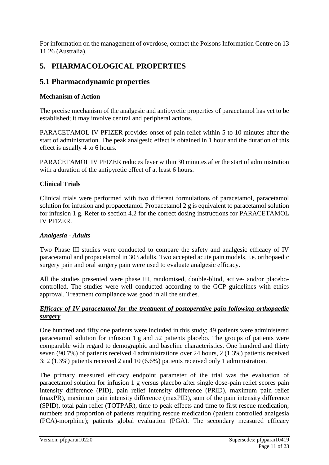For information on the management of overdose, contact the Poisons Information Centre on 13 11 26 (Australia).

## **5. PHARMACOLOGICAL PROPERTIES**

## **5.1 Pharmacodynamic properties**

## **Mechanism of Action**

The precise mechanism of the analgesic and antipyretic properties of paracetamol has yet to be established; it may involve central and peripheral actions.

PARACETAMOL IV PFIZER provides onset of pain relief within 5 to 10 minutes after the start of administration. The peak analgesic effect is obtained in 1 hour and the duration of this effect is usually 4 to 6 hours.

PARACETAMOL IV PFIZER reduces fever within 30 minutes after the start of administration with a duration of the antipyretic effect of at least 6 hours.

## **Clinical Trials**

Clinical trials were performed with two different formulations of paracetamol, paracetamol solution for infusion and propacetamol. Propacetamol 2 g is equivalent to paracetamol solution for infusion 1 g. Refer to section 4.2 for the correct dosing instructions for PARACETAMOL IV PFIZER.

## *Analgesia - Adults*

Two Phase III studies were conducted to compare the safety and analgesic efficacy of IV paracetamol and propacetamol in 303 adults. Two accepted acute pain models, i.e. orthopaedic surgery pain and oral surgery pain were used to evaluate analgesic efficacy.

All the studies presented were phase III, randomised, double-blind, active- and/or placebocontrolled. The studies were well conducted according to the GCP guidelines with ethics approval. Treatment compliance was good in all the studies.

### *Efficacy of IV paracetamol for the treatment of postoperative pain following orthopaedic surgery*

One hundred and fifty one patients were included in this study; 49 patients were administered paracetamol solution for infusion 1 g and 52 patients placebo. The groups of patients were comparable with regard to demographic and baseline characteristics. One hundred and thirty seven (90.7%) of patients received 4 administrations over 24 hours, 2 (1.3%) patients received 3; 2 (1.3%) patients received 2 and 10 (6.6%) patients received only 1 administration.

The primary measured efficacy endpoint parameter of the trial was the evaluation of paracetamol solution for infusion 1 g versus placebo after single dose-pain relief scores pain intensity difference (PID), pain relief intensity difference (PRID), maximum pain relief (maxPR), maximum pain intensity difference (maxPID), sum of the pain intensity difference (SPID), total pain relief (TOTPAR), time to peak effects and time to first rescue medication; numbers and proportion of patients requiring rescue medication (patient controlled analgesia (PCA)-morphine); patients global evaluation (PGA). The secondary measured efficacy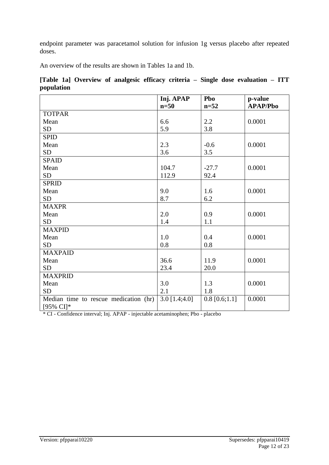endpoint parameter was paracetamol solution for infusion 1g versus placebo after repeated doses.

An overview of the results are shown in Tables 1a and 1b.

|            |  |  |  |  | [Table 1a] Overview of analgesic efficacy criteria – Single dose evaluation – ITT |  |
|------------|--|--|--|--|-----------------------------------------------------------------------------------|--|
| population |  |  |  |  |                                                                                   |  |

|                                       | Inj. APAP       | Pbo             | p-value         |
|---------------------------------------|-----------------|-----------------|-----------------|
|                                       | $n=50$          | $n=52$          | <b>APAP/Pbo</b> |
| <b>TOTPAR</b>                         |                 |                 |                 |
| Mean                                  | 6.6             | 2.2             | 0.0001          |
| <b>SD</b>                             | 5.9             | 3.8             |                 |
| <b>SPID</b>                           |                 |                 |                 |
| Mean                                  | 2.3             | $-0.6$          | 0.0001          |
| <b>SD</b>                             | 3.6             | 3.5             |                 |
| <b>SPAID</b>                          |                 |                 |                 |
| Mean                                  | 104.7           | $-27.7$         | 0.0001          |
| <b>SD</b>                             | 112.9           | 92.4            |                 |
| <b>SPRID</b>                          |                 |                 |                 |
| Mean                                  | 9.0             | 1.6             | 0.0001          |
| <b>SD</b>                             | 8.7             | 6.2             |                 |
| <b>MAXPR</b>                          |                 |                 |                 |
| Mean                                  | 2.0             | 0.9             | 0.0001          |
| <b>SD</b>                             | 1.4             | 1.1             |                 |
| <b>MAXPID</b>                         |                 |                 |                 |
| Mean                                  | 1.0             | 0.4             | 0.0001          |
| <b>SD</b>                             | 0.8             | 0.8             |                 |
| <b>MAXPAID</b>                        |                 |                 |                 |
| Mean                                  | 36.6            | 11.9            | 0.0001          |
| <b>SD</b>                             | 23.4            | 20.0            |                 |
| <b>MAXPRID</b>                        |                 |                 |                 |
| Mean                                  | 3.0             | 1.3             | 0.0001          |
| <b>SD</b>                             | 2.1             | 1.8             |                 |
| Median time to rescue medication (hr) | $3.0$ [1.4;4.0] | $0.8$ [0.6;1.1] | 0.0001          |
| $[95\% \text{ CI}]^*$                 |                 |                 |                 |

\* CI - Confidence interval; Inj. APAP - injectable acetaminophen; Pbo - placebo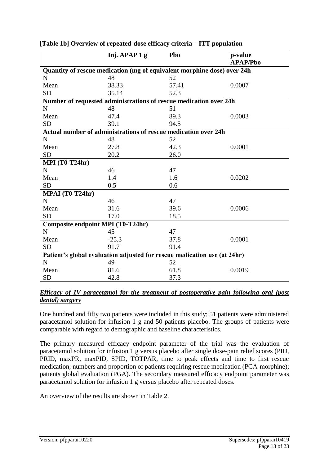|                                          | Inj. APAP 1 g | Pbo                                                                      | p-value<br><b>APAP/Pbo</b> |
|------------------------------------------|---------------|--------------------------------------------------------------------------|----------------------------|
|                                          |               | Quantity of rescue medication (mg of equivalent morphine dose) over 24h  |                            |
| N                                        | 48            | 52                                                                       |                            |
| Mean                                     | 38.33         | 57.41                                                                    | 0.0007                     |
| <b>SD</b>                                | 35.14         | 52.3                                                                     |                            |
|                                          |               | Number of requested administrations of rescue medication over 24h        |                            |
| $\mathbf N$                              | 48            | 51                                                                       |                            |
| Mean                                     | 47.4          | 89.3                                                                     | 0.0003                     |
| <b>SD</b>                                | 39.1          | 94.5                                                                     |                            |
|                                          |               | Actual number of administrations of rescue medication over 24h           |                            |
| N                                        | 48            | 52                                                                       |                            |
| Mean                                     | 27.8          | 42.3                                                                     | 0.0001                     |
| <b>SD</b>                                | 20.2          | 26.0                                                                     |                            |
| <b>MPI</b> (T0-T24hr)                    |               |                                                                          |                            |
| N                                        | 46            | 47                                                                       |                            |
| Mean                                     | 1.4           | 1.6                                                                      | 0.0202                     |
| <b>SD</b>                                | 0.5           | 0.6                                                                      |                            |
| MPAI (T0-T24hr)                          |               |                                                                          |                            |
| N                                        | 46            | 47                                                                       |                            |
| Mean                                     | 31.6          | 39.6                                                                     | 0.0006                     |
| <b>SD</b>                                | 17.0          | 18.5                                                                     |                            |
| <b>Composite endpoint MPI (T0-T24hr)</b> |               |                                                                          |                            |
| N                                        | 45            | 47                                                                       |                            |
| Mean                                     | $-25.3$       | 37.8                                                                     | 0.0001                     |
| <b>SD</b>                                | 91.7          | 91.4                                                                     |                            |
|                                          |               | Patient's global evaluation adjusted for rescue medication use (at 24hr) |                            |
| N                                        | 49            | 52                                                                       |                            |
| Mean                                     | 81.6          | 61.8                                                                     | 0.0019                     |
| <b>SD</b>                                | 42.8          | 37.3                                                                     |                            |

**[Table 1b] Overview of repeated-dose efficacy criteria – ITT population**

One hundred and fifty two patients were included in this study; 51 patients were administered paracetamol solution for infusion 1 g and 50 patients placebo. The groups of patients were comparable with regard to demographic and baseline characteristics.

The primary measured efficacy endpoint parameter of the trial was the evaluation of paracetamol solution for infusion 1 g versus placebo after single dose-pain relief scores (PID, PRID, maxPR, maxPID, SPID, TOTPAR, time to peak effects and time to first rescue medication; numbers and proportion of patients requiring rescue medication (PCA-morphine); patients global evaluation (PGA). The secondary measured efficacy endpoint parameter was paracetamol solution for infusion 1 g versus placebo after repeated doses.

An overview of the results are shown in Table 2.

*Efficacy of IV paracetamol for the treatment of postoperative pain following oral (post dental) surgery*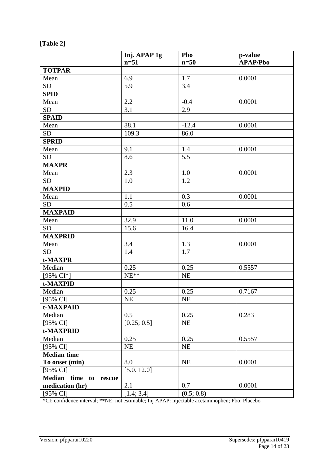| [Table . |  |
|----------|--|
|----------|--|

|                          | Inj. APAP 1g | Pbo        | p-value         |
|--------------------------|--------------|------------|-----------------|
|                          | $n=51$       | $n=50$     | <b>APAP/Pbo</b> |
| <b>TOTPAR</b>            |              |            |                 |
| Mean                     | 6.9          | 1.7        | 0.0001          |
| <b>SD</b>                | 5.9          | 3.4        |                 |
| <b>SPID</b>              |              |            |                 |
| Mean                     | 2.2          | $-0.4$     | 0.0001          |
| <b>SD</b>                | 3.1          | 2.9        |                 |
| <b>SPAID</b>             |              |            |                 |
| Mean                     | 88.1         | $-12.4$    | 0.0001          |
| <b>SD</b>                | 109.3        | 86.0       |                 |
| <b>SPRID</b>             |              |            |                 |
| Mean                     | 9.1          | 1.4        | 0.0001          |
| <b>SD</b>                | 8.6          | 5.5        |                 |
| <b>MAXPR</b>             |              |            |                 |
| Mean                     | 2.3          | 1.0        | 0.0001          |
| SD <sub>1</sub>          | 1.0          | 1.2        |                 |
| <b>MAXPID</b>            |              |            |                 |
| Mean                     | 1.1          | 0.3        | 0.0001          |
| <b>SD</b>                | 0.5          | 0.6        |                 |
| <b>MAXPAID</b>           |              |            |                 |
| Mean                     | 32.9         | 11.0       | 0.0001          |
| <b>SD</b>                | 15.6         | 16.4       |                 |
| <b>MAXPRID</b>           |              |            |                 |
| Mean                     | 3.4          | 1.3        | 0.0001          |
| <b>SD</b>                | 1.4          | 1.7        |                 |
| t-MAXPR                  |              |            |                 |
| Median                   | 0.25         | 0.25       | 0.5557          |
| [95% CI*]                | $NE**$       | NE         |                 |
| t-MAXPID                 |              |            |                 |
| Median                   | 0.25         | 0.25       | 0.7167          |
| $[95\% \text{ CI}]$      | NE           | NE         |                 |
| t-MAXPAID                |              |            |                 |
| Median                   | 0.5          | 0.25       | 0.283           |
| [95% CI]                 | [0.25; 0.5]  | NE         |                 |
| t-MAXPRID                |              |            |                 |
| Median                   | 0.25         | 0.25       | 0.5557          |
| [95% CI]                 | NE           | NE         |                 |
| <b>Median time</b>       |              |            |                 |
| To onset (min)           | 8.0          | NE         | 0.0001          |
| [95% CI]                 | [5.0.12.0]   |            |                 |
| Median time<br>to rescue |              |            |                 |
| medication (hr)          | 2.1          | 0.7        | 0.0001          |
| [95% CI]                 | [1.4; 3.4]   | (0.5; 0.8) |                 |

\*CI: confidence interval; \*\*NE: not estimable; Inj APAP: injectable acetaminophen; Pbo: Placebo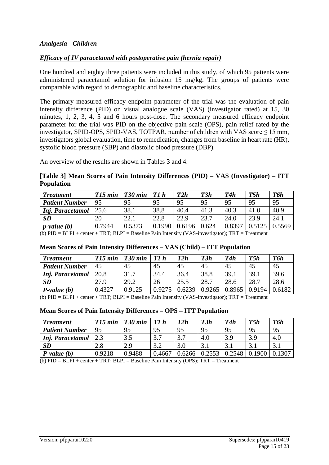### *Efficacy of IV paracetamol with postoperative pain (hernia repair)*

One hundred and eighty three patients were included in this study, of which 95 patients were administered paracetamol solution for infusion 15 mg/kg. The groups of patients were comparable with regard to demographic and baseline characteristics.

The primary measured efficacy endpoint parameter of the trial was the evaluation of pain intensity difference (PID) on visual analogue scale (VAS) (investigator rated) at 15, 30 minutes, 1, 2, 3, 4, 5 and 6 hours post-dose. The secondary measured efficacy endpoint parameter for the trial was PID on the objective pain scale (OPS), pain relief rated by the investigator, SPID-OPS, SPID-VAS, TOTPAR, number of children with VAS score  $\leq$  15 mm, investigators global evaluation, time to remedication, changes from baseline in heart rate (HR), systolic blood pressure (SBP) and diastolic blood pressure (DBP).

An overview of the results are shown in Tables 3 and 4.

**[Table 3] Mean Scores of Pain Intensity Differences (PID) – VAS (Investigator) – ITT Population**

| <b>Treatment</b>                                                                                                   | T15 min | T <sub>30</sub> min | T1h    | T2h    | T3h   | T4h    | T5h  | T6h    |
|--------------------------------------------------------------------------------------------------------------------|---------|---------------------|--------|--------|-------|--------|------|--------|
| <b>Patient Number</b>                                                                                              | 95      | 95                  | 95     | 95     | 95    | 95     | 95   | 95     |
| Inj. Paracetamol                                                                                                   | 25.6    | 38.1                | 38.8   | 40.4   | 41.3  | 40.3   | 41.0 | 40.9   |
| <b>SD</b>                                                                                                          | 20      | 22.1                | 22.8   | 22.9   | 23.7  | 24.0   | 23.9 | 24.1   |
| $ p$ -value $(b)$                                                                                                  | 0.7944  | 0.5373              | 0.1990 | 0.6196 | 0.624 | 0.8397 |      | 0.5569 |
| (L) DID DI DI $_{i}$ and $_{i}$ TDT, DI DI $_{i}$ Daveline Delin Literation (UAC increased). TDT $_{i}$ Theorem of |         |                     |        |        |       |        |      |        |

(b) PID = BLPI + center + TRT; BLPI = Baseline Pain Intensity (VAS-investigator); TRT = Treatment

### **Mean Scores of Pain Intensity Differences – VAS (Child) – ITT Population**

| <b>Treatment</b>      | T15 min | T <sub>30</sub> min | T1 h  | T2h    | T3h    | T4h    | T5h    | T6h    |
|-----------------------|---------|---------------------|-------|--------|--------|--------|--------|--------|
| <b>Patient Number</b> | 45      | 45                  | 45    | 45     | 45     | 45     | 45     | 45     |
| Inj. Paracetamol      | 20.8    | 31.7                | 34.4  | 36.4   | 38.8   | 39.1   | 39.1   | 39.6   |
| SD                    | 27.9    | 29.2                | 26    | 25.5   | 28.7   | 28.6   | 28.7   | 28.6   |
| $P-value(b)$          | 0.4327  | 0.9125              | 0.927 | 0.6239 | 0.9265 | 0.8965 | 0.9194 | 0.6182 |

(b) PID = BLPI + center + TRT; BLPI = Baseline Pain Intensity (VAS-investigator); TRT = Treatment

#### **Mean Scores of Pain Intensity Differences – OPS – ITT Population**

| <b>Treatment</b>      | $T15$ min | T <sub>30</sub> min | T1h                    | T2h    | T3h           | T4h    | T5h          | T6h |
|-----------------------|-----------|---------------------|------------------------|--------|---------------|--------|--------------|-----|
| <b>Patient Number</b> | 95        | 95                  | 95                     | 95     | 95            | 95     | 95           | 95  |
| Inj. Paracetamol      |           | 3.5                 | 37                     | 37     | 4.0           | 3.9    | 3.9          | 4.0 |
| SD                    | 2.8       | 2.9                 | $\mathcal{R}$<br>∠. د. | 3.0    | $\mathcal{R}$ |        | $\mathbf{c}$ |     |
| $P-value(b)$          | 0.9218    | 0.9488              | 0.4667                 | ).6266 | 0.2553        | 0.2548 | 1900         |     |

(b) PID = BLPI + center + TRT; BLPI = Baseline Pain Intensity (OPS); TRT = Treatment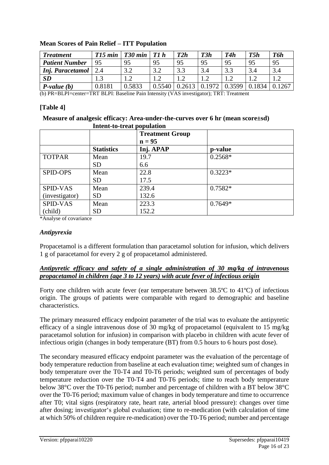| <b>Treatment</b>      | $T15$ min | T <sub>30</sub> min | T1h                             | T2h  | T3h            | T4h            | T5h    | T6h   |
|-----------------------|-----------|---------------------|---------------------------------|------|----------------|----------------|--------|-------|
| <b>Patient Number</b> | 95        | 95                  | 95                              | 95   | 95             | 95             | 95     | 95    |
| Inj. Paracetamol      |           | 2 J<br>ے . د        | 3.2                             |      | 3.4            | 2 <sub>2</sub> | 3.4    |       |
| SD                    |           | ി<br>1.Z            | $\overline{1}$ . $\overline{2}$ |      | 1 <sub>2</sub> |                |        |       |
| $P-value(b)$          | 0.8181    | 0.5833              | 0.5540                          | 2613 | 1972<br>0.     | 0.3599         | 0.1834 | .1267 |

### **Mean Scores of Pain Relief – ITT Population**

(b) PR=BLPI=center=TRT BLPI: Baseline Pain Intensity (VAS investigator); TRT: Treatment

#### **[Table 4]**

#### **Measure of analgesic efficacy: Area-under-the-curves over 6 hr (mean score±sd) Intent-to-treat population**

|                 |                   | <b>Treatment Group</b><br>$n = 95$ |           |
|-----------------|-------------------|------------------------------------|-----------|
|                 | <b>Statistics</b> | Inj. APAP                          | p-value   |
| <b>TOTPAR</b>   | Mean              | 19.7                               | $0.2568*$ |
|                 | <b>SD</b>         | 6.6                                |           |
| <b>SPID-OPS</b> | Mean              | 22.8                               | $0.3223*$ |
|                 | <b>SD</b>         | 17.5                               |           |
| <b>SPID-VAS</b> | Mean              | 239.4                              | $0.7582*$ |
| (investigator)  | <b>SD</b>         | 132.6                              |           |
| <b>SPID-VAS</b> | Mean              | 223.3                              | $0.7649*$ |
| (child)         | <b>SD</b>         | 152.2                              |           |

\*Analyse of covariance

#### *Antipyrexia*

Propacetamol is a different formulation than paracetamol solution for infusion, which delivers 1 g of paracetamol for every 2 g of propacetamol administered.

### *Antipyretic efficacy and safety of a single administration of 30 mg/kg of intravenous propacetamol in children (age 3 to 12 years) with acute fever of infectious origin*

Forty one children with acute fever (ear temperature between 38.5ºC to 41ºC) of infectious origin. The groups of patients were comparable with regard to demographic and baseline characteristics.

The primary measured efficacy endpoint parameter of the trial was to evaluate the antipyretic efficacy of a single intravenous dose of 30 mg/kg of propacetamol (equivalent to 15 mg/kg paracetamol solution for infusion) in comparison with placebo in children with acute fever of infectious origin (changes in body temperature (BT) from 0.5 hours to 6 hours post dose).

The secondary measured efficacy endpoint parameter was the evaluation of the percentage of body temperature reduction from baseline at each evaluation time; weighted sum of changes in body temperature over the T0-T4 and T0-T6 periods; weighted sum of percentages of body temperature reduction over the T0-T4 and T0-T6 periods; time to reach body temperature below 38°C over the T0-T6 period; number and percentage of children with a BT below 38°C over the T0-T6 period; maximum value of changes in body temperature and time to occurrence after T0; vital signs (respiratory rate, heart rate, arterial blood pressure): changes over time after dosing; investigator's global evaluation; time to re-medication (with calculation of time at which 50% of children require re-medication) over the T0-T6 period; number and percentage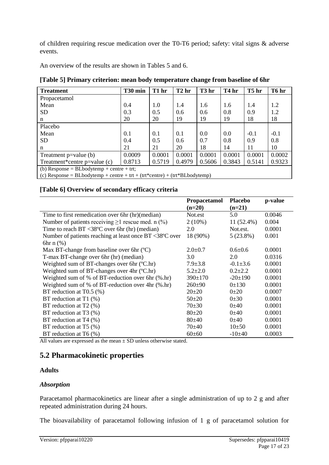of children requiring rescue medication over the T0-T6 period; safety: vital signs & adverse events.

An overview of the results are shown in Tables 5 and 6.

| <b>Treatment</b>                                                                                                                                                                                                                                                   | T30 min | T1 hr  | T <sub>2</sub> hr | T <sub>3</sub> hr | T <sub>4</sub> hr | T5 hr  | T6 hr  |
|--------------------------------------------------------------------------------------------------------------------------------------------------------------------------------------------------------------------------------------------------------------------|---------|--------|-------------------|-------------------|-------------------|--------|--------|
| Propacetamol                                                                                                                                                                                                                                                       |         |        |                   |                   |                   |        |        |
| Mean                                                                                                                                                                                                                                                               | 0.4     | 1.0    | 1.4               | 1.6               | 1.6               | 1.4    | 1.2    |
| <b>SD</b>                                                                                                                                                                                                                                                          | 0.3     | 0.5    | 0.6               | 0.6               | 0.8               | 0.9    | 1.2    |
| n                                                                                                                                                                                                                                                                  | 20      | 20     | 19                | 19                | 19                | 18     | 18     |
| Placebo                                                                                                                                                                                                                                                            |         |        |                   |                   |                   |        |        |
| Mean                                                                                                                                                                                                                                                               | 0.1     | 0.1    | 0.1               | 0.0               | 0.0               | $-0.1$ | $-0.1$ |
| <b>SD</b>                                                                                                                                                                                                                                                          | 0.4     | 0.5    | 0.6               | 0.7               | 0.8               | 0.9    | 0.8    |
| n                                                                                                                                                                                                                                                                  | 21      | 21     | 20                | 18                | 14                | 11     | 10     |
| Treatment $p = value(b)$                                                                                                                                                                                                                                           | 0.0009  | 0.0001 | 0.0001            | 0.0001            | 0.0001            | 0.0001 | 0.0002 |
| Treatment*centre $p = value(c)$                                                                                                                                                                                                                                    | 0.8713  | 0.5719 | 0.4979            | 0.5606            | 0.3843            | 0.5141 | 0.9323 |
| (b) Response = BLbodytemp + centre + trt;<br>$\langle \cdot, \cdot \rangle$ in the set of the set of the set of the set of $\langle \cdot, \cdot \rangle$ and $\langle \cdot, \cdot \rangle$ and $\langle \cdot, \cdot \rangle$ and $\langle \cdot, \cdot \rangle$ |         |        |                   |                   |                   |        |        |

(c) Response = BLbodytemp + centre + trt + (trt\*centre) + (trt\*BLbodytemp)

### **[Table 6] Overview of secondary efficacy criteria**

|                                                                   | <b>Propacetamol</b><br>$(n=20)$ | <b>Placebo</b><br>$(n=21)$ | p-value |
|-------------------------------------------------------------------|---------------------------------|----------------------------|---------|
| Time to first remedication over 6hr (hr) (median)                 | Not.est                         | 5.0                        | 0.0046  |
| Number of patients receiving $\geq 1$ rescue med. n (%)           | $2(10\%)$                       | 11 (52.4%)                 | 0.004   |
| Time to reach $BT < 38^{\circ}C$ over 6hr (hr) (median)           | 2.0                             | Not.est.                   | 0.0001  |
| Number of patients reaching at least once $BT < 38^{\circ}C$ over | 18 (90%)                        | $5(23.8\%)$                | 0.001   |
| $6hr \nvert 0\%$                                                  |                                 |                            |         |
| Max BT-change from baseline over 6hr $(C)$                        | $2.0 \pm 0.7$                   | $0.6 \pm 0.6$              | 0.0001  |
| T-max BT-change over 6hr (hr) (median)                            | 3.0                             | 2.0                        | 0.0316  |
| Weighted sum of BT-changes over 6hr (°C.hr)                       | $7.9 \pm 3.8$                   | $-0.1\pm3.6$               | 0.0001  |
| Weighted sum of BT-changes over 4hr (°C.hr)                       | $5.2 \pm 2.0$                   | $0.2{\pm}2.2$              | 0.0001  |
| Weighted sum of % of BT-reduction over 6hr $(\%$ .hr)             | $390 \pm 170$                   | $-20 \pm 190$              | 0.0001  |
| Weighted sum of % of BT-reduction over $4hr$ (%.hr)               | $260+90$                        | $0 \pm 130$                | 0.0001  |
| BT reduction at T0.5 $(\%)$                                       | $20\pm 20$                      | $0+20$                     | 0.0007  |
| BT reduction at $T1$ (%)                                          | $50+20$                         | 0.0001                     | 0.0001  |
| BT reduction at $T2$ (%)                                          | $70 \pm 30$                     | $0+40$                     | 0.0001  |
| BT reduction at T3 $(\%)$                                         | $80+20$                         | $0+40$                     | 0.0001  |
| BT reduction at $T4$ (%)                                          | $80+40$                         | $0+40$                     | 0.0001  |
| BT reduction at $T5$ (%)                                          | 70±40                           | $10+50$                    | 0.0001  |
| BT reduction at T6 $(\%)$                                         | $60 \pm 60$                     | $-10\pm 40$                | 0.0003  |

All values are expressed as the mean  $\pm$  SD unless otherwise stated.

## **5.2 Pharmacokinetic properties**

## **Adults**

## *Absorption*

Paracetamol pharmacokinetics are linear after a single administration of up to 2 g and after repeated administration during 24 hours.

The bioavailability of paracetamol following infusion of 1 g of paracetamol solution for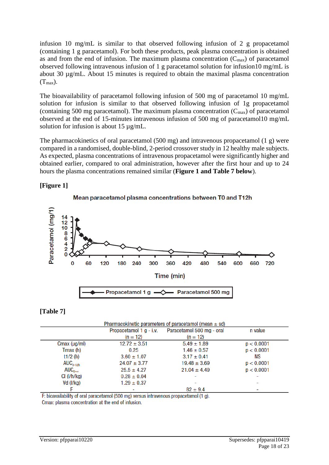infusion 10 mg/mL is similar to that observed following infusion of 2 g propacetamol (containing 1 g paracetamol). For both these products, peak plasma concentration is obtained as and from the end of infusion. The maximum plasma concentration  $(C_{\text{max}})$  of paracetamol observed following intravenous infusion of 1 g paracetamol solution for infusion10 mg/mL is about 30 µg/mL. About 15 minutes is required to obtain the maximal plasma concentration  $(T_{max})$ .

The bioavailability of paracetamol following infusion of 500 mg of paracetamol 10 mg/mL solution for infusion is similar to that observed following infusion of 1g propacetamol (containing 500 mg paracetamol). The maximum plasma concentration  $(C_{\text{max}})$  of paracetamol observed at the end of 15-minutes intravenous infusion of 500 mg of paracetamol10 mg/mL solution for infusion is about 15 µg/mL.

The pharmacokinetics of oral paracetamol (500 mg) and intravenous propacetamol (1 g) were compared in a randomised, double-blind, 2-period crossover study in 12 healthy male subjects. As expected, plasma concentrations of intravenous propacetamol were significantly higher and obtained earlier, compared to oral administration, however after the first hour and up to 24 hours the plasma concentrations remained similar (**Figure 1 and Table 7 below**).

### **[Figure 1]**



## **[Table 7]**

|                         |                         | Pharmacokinetic parameters of paracetamol (mean $\pm$ sd) |                          |
|-------------------------|-------------------------|-----------------------------------------------------------|--------------------------|
|                         | Propacetamol 1 g - i.v. | Paracetamol 500 mg - oral                                 | n value                  |
|                         | $(n = 12)$              | $(n = 12)$                                                |                          |
| Cmax $(\mu g/ml)$       | $12.72 \pm 3.51$        | $5.49 \pm 1.89$                                           | p < 0.0001               |
| Tmax (h)                | 0.25                    | $1.46 \pm 0.57$                                           | p < 0.0001               |
| t <sub>1</sub> /2 $(h)$ | $3.60 \pm 1.07$         | $3.17 \pm 0.41$                                           | ΝS                       |
| $AUC_{0-12h}$           | $24.07 \pm 3.77$        | $19.48 \pm 3.69$                                          | p < 0.0001               |
| $AUC_{0-\infty}$        | $25.5 \pm 4.27$         | $21.04 \pm 4.49$                                          | p < 0.0001               |
| Cl (I/h/kg)             | $0.28 \pm 0.04$         |                                                           | $\overline{\phantom{0}}$ |
| $Vd$ ( $I/kg$ )         | $1.29 \pm 0.37$         |                                                           | $\overline{\phantom{0}}$ |
|                         |                         | $82 \pm 9.4$                                              | -                        |

F: bioavailability of oral paracetamol (500 mg) versus intravenous propacetamol (1 g).

Cmax: plasma concentration at the end of infusion.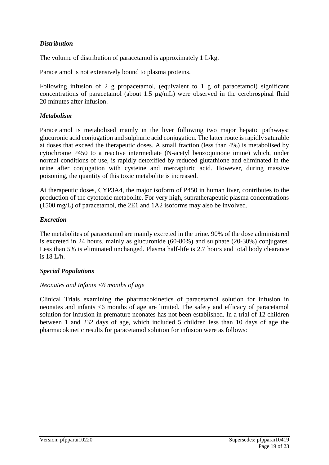## *Distribution*

The volume of distribution of paracetamol is approximately 1 L/kg.

Paracetamol is not extensively bound to plasma proteins.

Following infusion of 2 g propacetamol, (equivalent to 1 g of paracetamol) significant concentrations of paracetamol (about 1.5 µg/mL) were observed in the cerebrospinal fluid 20 minutes after infusion.

### *Metabolism*

Paracetamol is metabolised mainly in the liver following two major hepatic pathways: glucuronic acid conjugation and sulphuric acid conjugation. The latter route is rapidly saturable at doses that exceed the therapeutic doses. A small fraction (less than 4%) is metabolised by cytochrome P450 to a reactive intermediate (N-acetyl benzoquinone imine) which, under normal conditions of use, is rapidly detoxified by reduced glutathione and eliminated in the urine after conjugation with cysteine and mercapturic acid. However, during massive poisoning, the quantity of this toxic metabolite is increased.

At therapeutic doses, CYP3A4, the major isoform of P450 in human liver, contributes to the production of the cytotoxic metabolite. For very high, supratherapeutic plasma concentrations (1500 mg/L) of paracetamol, the 2E1 and 1A2 isoforms may also be involved.

### *Excretion*

The metabolites of paracetamol are mainly excreted in the urine. 90% of the dose administered is excreted in 24 hours, mainly as glucuronide (60-80%) and sulphate (20-30%) conjugates. Less than 5% is eliminated unchanged. Plasma half-life is 2.7 hours and total body clearance is 18 L/h.

### *Special Populations*

### *Neonates and Infants <6 months of age*

Clinical Trials examining the pharmacokinetics of paracetamol solution for infusion in neonates and infants <6 months of age are limited. The safety and efficacy of paracetamol solution for infusion in premature neonates has not been established. In a trial of 12 children between 1 and 232 days of age, which included 5 children less than 10 days of age the pharmacokinetic results for paracetamol solution for infusion were as follows: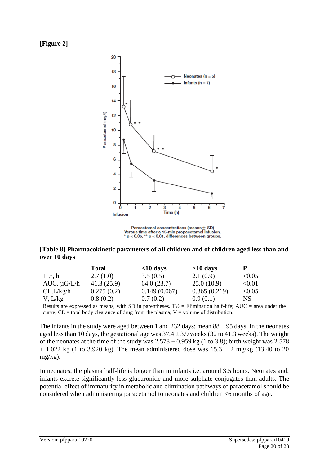### **[Figure 2]**



Paracetamol concentrations (means ± SD) Figure after a 15-min propacetamol infusion.<br>  $\dot{r}$  b < 0.05, \*\* p < 0.01, differences between groups.

**[Table 8] Pharmacokinetic parameters of all children and of children aged less than and over 10 days**

|                                                                                                                      | <b>Total</b> | $<$ 10 days                                                                               | $>10$ days   | p      |
|----------------------------------------------------------------------------------------------------------------------|--------------|-------------------------------------------------------------------------------------------|--------------|--------|
| $T_{1/2}$ , h                                                                                                        | 2.7(1.0)     | 3.5(0.5)                                                                                  | 2.1(0.9)     | < 0.05 |
| AUC, $\mu$ G/L/h                                                                                                     | 41.3(25.9)   | 64.0(23.7)                                                                                | 25.0(10.9)   | < 0.01 |
| CL, L/kg/h                                                                                                           | 0.275(0.2)   | 0.149(0.067)                                                                              | 0.365(0.219) | < 0.05 |
| V, L/kg                                                                                                              | 0.8(0.2)     | 0.7(0.2)                                                                                  | 0.9(0.1)     | NS     |
| Results are expressed as means, with SD in parentheses. $T\frac{1}{2}$ = Elimination half-life; AUC = area under the |              |                                                                                           |              |        |
|                                                                                                                      |              | curve; $CL = total$ body clearance of drug from the plasma; $V = volume$ of distribution. |              |        |

The infants in the study were aged between 1 and 232 days; mean  $88 \pm 95$  days. In the neonates aged less than 10 days, the gestational age was  $37.4 \pm 3.9$  weeks (32 to 41.3 weeks). The weight of the neonates at the time of the study was  $2.578 \pm 0.959$  kg (1 to 3.8); birth weight was 2.578  $\pm$  1.022 kg (1 to 3.920 kg). The mean administered dose was  $15.3 \pm 2$  mg/kg (13.40 to 20 mg/kg).

In neonates, the plasma half-life is longer than in infants i.e. around 3.5 hours. Neonates and, infants excrete significantly less glucuronide and more sulphate conjugates than adults. The potential effect of immaturity in metabolic and elimination pathways of paracetamol should be considered when administering paracetamol to neonates and children <6 months of age.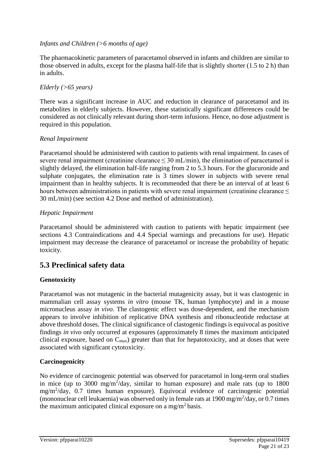### *Infants and Children (>6 months of age)*

The pharmacokinetic parameters of paracetamol observed in infants and children are similar to those observed in adults, except for the plasma half-life that is slightly shorter (1.5 to 2 h) than in adults.

### *Elderly (>65 years)*

There was a significant increase in AUC and reduction in clearance of paracetamol and its metabolites in elderly subjects. However, these statistically significant differences could be considered as not clinically relevant during short-term infusions. Hence, no dose adjustment is required in this population.

### *Renal Impairment*

Paracetamol should be administered with caution to patients with renal impairment. In cases of severe renal impairment (creatinine clearance  $\leq 30$  mL/min), the elimination of paracetamol is slightly delayed, the elimination half-life ranging from 2 to 5.3 hours. For the glucuronide and sulphate conjugates, the elimination rate is 3 times slower in subjects with severe renal impairment than in healthy subjects. It is recommended that there be an interval of at least 6 hours between administrations in patients with severe renal impairment (creatinine clearance  $\leq$ 30 mL/min) (see section 4.2 Dose and method of administration).

### *Hepatic Impairment*

Paracetamol should be administered with caution to patients with hepatic impairment (see sections 4.3 Contraindications and 4.4 Special warnings and precautions for use). Hepatic impairment may decrease the clearance of paracetamol or increase the probability of hepatic toxicity.

## **5.3 Preclinical safety data**

## **Genotoxicity**

Paracetamol was not mutagenic in the bacterial mutagenicity assay, but it was clastogenic in mammalian cell assay systems *in vitro* (mouse TK, human lymphocyte) and in a mouse micronucleus assay *in vivo*. The clastogenic effect was dose-dependent, and the mechanism appears to involve inhibition of replicative DNA synthesis and ribonucleotide reductase at above threshold doses. The clinical significance of clastogenic findings is equivocal as positive findings *in vivo* only occurred at exposures (approximately 8 times the maximum anticipated clinical exposure, based on  $C_{\text{max}}$ ) greater than that for hepatotoxicity, and at doses that were associated with significant cytotoxicity.

## **Carcinogenicity**

No evidence of carcinogenic potential was observed for paracetamol in long-term oral studies in mice (up to  $3000 \text{ mg/m}^2/\text{day}$ , similar to human exposure) and male rats (up to  $1800$ mg/m<sup>2</sup> /day, 0.7 times human exposure). Equivocal evidence of carcinogenic potential (mononuclear cell leukaemia) was observed only in female rats at  $1900 \,\text{mg/m}^2/\text{day}$ , or 0.7 times the maximum anticipated clinical exposure on a mg/m<sup>2</sup> basis.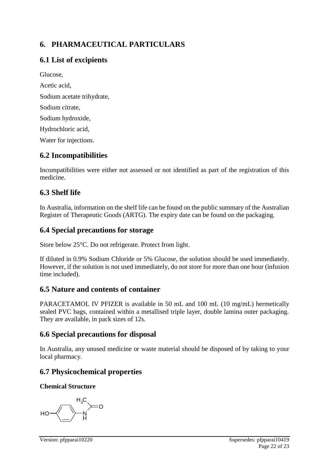## **6. PHARMACEUTICAL PARTICULARS**

## **6.1 List of excipients**

Glucose, Acetic acid, Sodium acetate trihydrate, Sodium citrate, Sodium hydroxide, Hydrochloric acid, Water for injections.

## **6.2 Incompatibilities**

Incompatibilities were either not assessed or not identified as part of the registration of this medicine.

## **6.3 Shelf life**

In Australia, information on the shelf life can be found on the public summary of the Australian Register of Therapeutic Goods (ARTG). The expiry date can be found on the packaging.

## **6.4 Special precautions for storage**

Store below 25°C. Do not refrigerate. Protect from light.

If diluted in 0.9% Sodium Chloride or 5% Glucose, the solution should be used immediately. However, if the solution is not used immediately, do not store for more than one hour (infusion time included).

## **6.5 Nature and contents of container**

PARACETAMOL IV PFIZER is available in 50 mL and 100 mL (10 mg/mL) hermetically sealed PVC bags, contained within a metallised triple layer, double lamina outer packaging. They are available, in pack sizes of 12s.

## **6.6 Special precautions for disposal**

In Australia, any unused medicine or waste material should be disposed of by taking to your local pharmacy.

## **6.7 Physicochemical properties**

## **Chemical Structure**

N H HO  $H_3C$ O